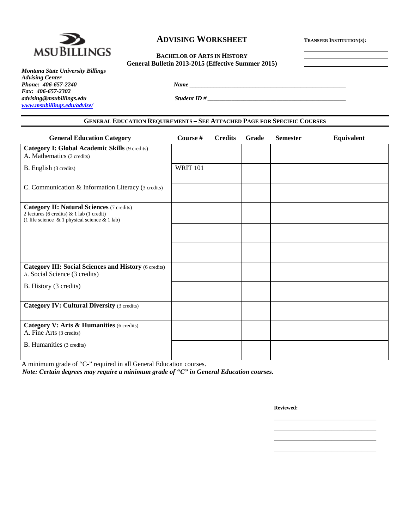

# **ADVISING WORKSHEET TRANSFER INSTITUTION(S):**

# **BACHELOR OF ARTS IN HISTORY General Bulletin 2013-2015 (Effective Summer 2015)**

*Phone: 406-657-2240 Name \_\_\_\_\_\_\_\_\_\_\_\_\_\_\_\_\_\_\_\_\_\_\_\_\_\_\_\_\_\_\_\_\_\_\_\_\_\_\_\_\_\_\_\_\_\_\_\_\_\_\_\_* 

*Montana State University Billings Advising Center Fax: 406-657-2302 advising@msubillings.edu Student ID # \_\_\_\_\_\_\_\_\_\_\_\_\_\_\_\_\_\_\_\_\_\_\_\_\_\_\_\_\_\_\_\_\_\_\_\_\_\_\_\_\_\_\_\_\_\_ www.msubillings.edu/advise/*

|  | General Education Requirements - See Attached Page for Specific Courses |  |
|--|-------------------------------------------------------------------------|--|
|--|-------------------------------------------------------------------------|--|

| <b>General Education Category</b>                                                                                                                    | Course #        | <b>Credits</b> | Grade | <b>Semester</b> | Equivalent |
|------------------------------------------------------------------------------------------------------------------------------------------------------|-----------------|----------------|-------|-----------------|------------|
| <b>Category I: Global Academic Skills (9 credits)</b><br>A. Mathematics (3 credits)                                                                  |                 |                |       |                 |            |
| <b>B.</b> English (3 credits)                                                                                                                        | <b>WRIT 101</b> |                |       |                 |            |
| C. Communication & Information Literacy (3 credits)                                                                                                  |                 |                |       |                 |            |
| <b>Category II: Natural Sciences (7 credits)</b><br>2 lectures (6 credits) & 1 lab (1 credit)<br>(1 life science $\&$ 1 physical science $\&$ 1 lab) |                 |                |       |                 |            |
|                                                                                                                                                      |                 |                |       |                 |            |
|                                                                                                                                                      |                 |                |       |                 |            |
| <b>Category III: Social Sciences and History (6 credits)</b><br>A. Social Science (3 credits)                                                        |                 |                |       |                 |            |
| B. History (3 credits)                                                                                                                               |                 |                |       |                 |            |
| <b>Category IV: Cultural Diversity (3 credits)</b>                                                                                                   |                 |                |       |                 |            |
| Category V: Arts & Humanities (6 credits)<br>A. Fine Arts (3 credits)                                                                                |                 |                |       |                 |            |
| B. Humanities (3 credits)                                                                                                                            |                 |                |       |                 |            |

 $\mathcal{L}_\mathcal{L}$  , which is a set of the set of the set of the set of the set of the set of the set of the set of the set of the set of the set of the set of the set of the set of the set of the set of the set of the set of  $\mathcal{L}_\mathcal{L}$  , which is a set of the set of the set of the set of the set of the set of the set of the set of the set of the set of the set of the set of the set of the set of the set of the set of the set of the set of  $\mathcal{L}_\mathcal{L}$  , which is a set of the set of the set of the set of the set of the set of the set of the set of the set of the set of the set of the set of the set of the set of the set of the set of the set of the set of  $\mathcal{L}_\mathcal{L}$  , which is a set of the set of the set of the set of the set of the set of the set of the set of the set of the set of the set of the set of the set of the set of the set of the set of the set of the set of

A minimum grade of "C-" required in all General Education courses.

*Note: Certain degrees may require a minimum grade of "C" in General Education courses.* 

**Reviewed:**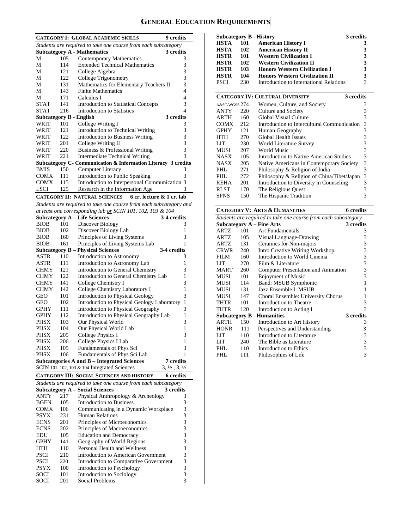# **GENERAL EDUCATION REQUIREMENTS**

|                                |            | <b>CATEGORY I: GLOBAL ACADEMIC SKILLS</b>                           | <b>9</b> credits                 |
|--------------------------------|------------|---------------------------------------------------------------------|----------------------------------|
|                                |            | Students are required to take one course from each subcategory      |                                  |
|                                |            | <b>Subcategory A - Mathematics</b>                                  | 3 credits                        |
| М                              | 105        | <b>Contemporary Mathematics</b>                                     | 3                                |
| М                              | 114        | <b>Extended Technical Mathematics</b>                               | 3                                |
| М                              | 121        | College Algebra                                                     | 3                                |
| М                              | 122        | <b>College Trigonometry</b>                                         | $\overline{3}$<br>3              |
| М<br>М                         | 131<br>143 | Mathematics for Elementary Teachers II<br><b>Finite Mathematics</b> | $\overline{4}$                   |
| М                              | 171        | Calculus I                                                          | 4                                |
| <b>STAT</b>                    | 141        | <b>Introduction to Statistical Concepts</b>                         | 3                                |
| <b>STAT</b>                    | 216        | <b>Introduction to Statistics</b>                                   | 4                                |
| <b>Subcategory B - English</b> |            |                                                                     | 3 credits                        |
| WRIT                           | 101        | College Writing I                                                   | 3                                |
| WRIT                           | 121        | Introduction to Technical Writing                                   | 3                                |
| WRIT                           | 122        | <b>Introduction to Business Writing</b>                             | 3                                |
| WRIT                           | 201        | College Writing II                                                  | 3                                |
| WRIT                           | 220        | Business & Professional Writing                                     | $\overline{3}$                   |
| WRIT                           | 221        | <b>Intermediate Technical Writing</b>                               | 3                                |
| <b>BMIS</b>                    | 150        | Subcategory C- Communication & Information Literacy 3 credits       |                                  |
| COMX                           | 111        | Computer Literacy<br>Introduction to Public Speaking                | 3<br>3                           |
| <b>COMX</b>                    | 115        | Introduction to Interpersonal Communication 3                       |                                  |
| <b>LSCI</b>                    | 125        | Research in the Information Age                                     |                                  |
|                                |            | <b>CATEGORY II: NATURAL SCIENCES</b><br>6 cr. lecture & 1 cr. lab   |                                  |
|                                |            | Students are required to take one course from each subcategory and  |                                  |
|                                |            | at least one corresponding lab or SCIN 101, 102, 103 & 104          |                                  |
|                                |            | <b>Subcategory A - Life Sciences</b>                                | 3-4 credits                      |
| <b>BIOB</b>                    | 101        | Discover Biology                                                    | 3                                |
| <b>BIOB</b>                    | 102        | Discover Biology Lab                                                | 1                                |
| <b>BIOB</b>                    | 160        | Principles of Living Systems                                        | 3                                |
| <b>BIOB</b>                    | 161        | Principles of Living Systems Lab                                    | 1                                |
|                                |            | <b>Subcategory B - Physical Sciences</b>                            | 3-4 credits                      |
| ASTR                           | 110        | Introduction to Astronomy                                           | 3                                |
| ASTR                           | 111        | Introduction to Astronomy Lab                                       | 1                                |
| <b>CHMY</b>                    | 121        | Introduction to General Chemistry                                   | 3                                |
| <b>CHMY</b>                    | 122        | Introduction to General Chemistry Lab                               | 1                                |
| <b>CHMY</b><br><b>CHMY</b>     | 141<br>142 | College Chemistry I                                                 | 3<br>1                           |
| GEO                            | 101        | College Chemistry Laboratory I<br>Introduction to Physical Geology  | 3                                |
| GEO                            | 102        | <b>Introduction to Physical Geology Laboratory</b>                  | 1                                |
| <b>GPHY</b>                    | 111        | Introduction to Physical Geography                                  | 3                                |
| GPHY                           | 112        | Introduction to Physical Geography Lab                              | 1                                |
| PHSX                           | 103        | Our Physical World                                                  | 3                                |
| PHSX                           | 104        | Our Physical World Lab                                              | 1                                |
| <b>PHSX</b>                    | 205        | <b>College Physics I</b>                                            | 3                                |
| PHSX                           | 206        | College Physics I Lab                                               | 1                                |
| <b>PHSX</b>                    | 105        | Fundamentals of Phys Sci                                            | 3                                |
| <b>PHSX</b>                    | 106        | Fundamentals of Phys Sci Lab                                        | 1                                |
|                                |            | <b>Subcategories A and B - Integrated Sciences</b>                  | 7 credits                        |
|                                |            | SCIN 101, 102, 103 & 104 Integrated Sciences                        | $3, \frac{1}{2}, 3, \frac{1}{2}$ |
|                                |            | <b>CATEGORY III: SOCIAL SCIENCES AND HISTORY</b>                    | 6 credits                        |
|                                |            | Students are required to take one course from each subcategory      |                                  |
|                                |            | <b>Subcategory A – Social Sciences</b>                              | 3 credits                        |
| ANTY                           | 217        | Physical Anthropology & Archeology                                  | 3                                |
| <b>BGEN</b>                    | 105        | <b>Introduction to Business</b>                                     | 3<br>3                           |
| COMX                           | 106<br>231 | Communicating in a Dynamic Workplace<br>Human Relations             |                                  |
| PSYX<br><b>ECNS</b>            | 201        | Principles of Microeconomics                                        | 3333333                          |
| <b>ECNS</b>                    | 202        | Principles of Macroeconomics                                        |                                  |
| EDU                            | 105        | <b>Education and Democracy</b>                                      |                                  |
| GPHY                           | 141        | Geography of World Regions                                          |                                  |
| HTH                            | 110        | Personal Health and Wellness                                        |                                  |
| <b>PSCI</b>                    | 210        | Introduction to American Government                                 |                                  |
| <b>PSCI</b>                    | 220        | Introduction to Comparative Government                              |                                  |
| <b>PSYX</b>                    | 100        | Introduction to Psychology                                          | $\frac{3}{3}$                    |
| SOCI                           | 101        | <b>Introduction to Sociology</b>                                    |                                  |
| SOCI                           | 201        | Social Problems                                                     | 3                                |

|      |     | Subcategory B - History                 | 3 credits |
|------|-----|-----------------------------------------|-----------|
| HSTA | 101 | <b>American History I</b>               | 3         |
| HSTA | 102 | <b>American History II</b>              | 3         |
| HSTR | 101 | <b>Western Civilization I</b>           | 3         |
| HSTR | 102 | <b>Western Civilization II</b>          | 3         |
| HSTR | 103 | <b>Honors Western Civilization I</b>    | 3         |
| HSTR | 104 | <b>Honors Western Civilization II</b>   | 3         |
| PSCI | 230 | Introduction to International Relations | 3         |

|               |     | <b>CATEGORY IV: CULTURAL DIVERSITY</b><br>3 credits |   |
|---------------|-----|-----------------------------------------------------|---|
| A&SC/WGSS 274 |     | Women, Culture, and Society                         | 3 |
| <b>ANTY</b>   | 220 | Culture and Society                                 | 3 |
| <b>ARTH</b>   | 160 | Global Visual Culture                               | 3 |
| <b>COMX</b>   | 212 | Introduction to Intercultural Communication         | 3 |
| <b>GPHY</b>   | 121 | Human Geography                                     | 3 |
| <b>HTH</b>    | 270 | Global Health Issues                                | 3 |
| LIT           | 230 | World Literature Survey                             | 3 |
| <b>MUSI</b>   | 207 | World Music                                         | 3 |
| <b>NASX</b>   | 105 | Introduction to Native American Studies             | 3 |
| <b>NASX</b>   | 205 | Native Americans in Contemporary Society            | 3 |
| PHL.          | 271 | Philosophy & Religion of India                      | 3 |
| PHL           | 272 | Philosophy & Religion of China/Tibet/Japan          | 3 |
| <b>REHA</b>   | 201 | Introduction to Diversity in Counseling             | 3 |
| <b>RLST</b>   | 170 | The Religious Ouest                                 | 3 |
| <b>SPNS</b>   | 150 | The Hispanic Tradition                              | 3 |

| <b>CATEGORY V: ARTS &amp; HUMANITIES</b> | <b>6</b> credits                              |                                                                |                         |  |  |  |  |
|------------------------------------------|-----------------------------------------------|----------------------------------------------------------------|-------------------------|--|--|--|--|
|                                          |                                               | Students are required to take one course from each subcategory |                         |  |  |  |  |
|                                          | <b>Subcategory A – Fine Arts</b><br>3 credits |                                                                |                         |  |  |  |  |
| <b>ARTZ</b>                              | 101                                           | <b>Art Fundamentals</b>                                        | 3                       |  |  |  |  |
| ARTZ                                     | 105                                           | Visual Language-Drawing                                        | 3                       |  |  |  |  |
| ARTZ                                     | 131                                           | Ceramics for Non-majors                                        | 3                       |  |  |  |  |
| CRWR                                     | 240                                           | <b>Intro Creative Writing Workshop</b>                         | $\overline{\mathbf{3}}$ |  |  |  |  |
| FILM                                     | 160                                           | Introduction to World Cinema                                   | 3                       |  |  |  |  |
| LIT                                      | 270                                           | Film & Literature                                              | 3                       |  |  |  |  |
| <b>MART</b>                              | 260                                           | Computer Presentation and Animation                            | 3                       |  |  |  |  |
| <b>MUSI</b>                              | 101                                           | <b>Enjoyment of Music</b>                                      | 3                       |  |  |  |  |
| MUSI                                     | 114                                           | Band: MSUB Symphonic                                           | 1                       |  |  |  |  |
| MUSI                                     | 131                                           | Jazz Ensemble I: MSUB                                          |                         |  |  |  |  |
| MUSI                                     | 147                                           | Choral Ensemble: University Chorus                             | 1                       |  |  |  |  |
| THTR                                     | 101                                           | Introduction to Theatre                                        | 3                       |  |  |  |  |
| THTR                                     | 120                                           | Introduction to Acting I                                       | $\mathcal{R}$           |  |  |  |  |
|                                          |                                               | <b>Subcategory B - Humanities</b>                              | 3 credits               |  |  |  |  |
| ARTH                                     | 150                                           | Introduction to Art History                                    | 3                       |  |  |  |  |
| <b>HONR</b>                              | 111                                           | Perspectives and Understanding                                 | 3                       |  |  |  |  |
| LIT                                      | 110                                           | Introduction to Literature                                     | 3                       |  |  |  |  |
| LIT                                      | 240                                           | The Bible as Literature                                        | 3                       |  |  |  |  |
| PHL.                                     | 110                                           | Introduction to Ethics                                         | 3                       |  |  |  |  |
| PHL                                      | 111                                           | Philosophies of Life                                           | 3                       |  |  |  |  |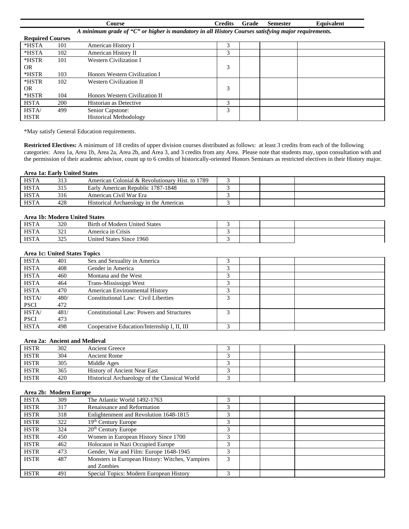|             |                         | Course                                                                                              | <b>Credits</b> | Grade | <b>Semester</b> | Equivalent |
|-------------|-------------------------|-----------------------------------------------------------------------------------------------------|----------------|-------|-----------------|------------|
|             |                         | A minimum grade of "C" or higher is mandatory in all History Courses satisfying major requirements. |                |       |                 |            |
|             | <b>Required Courses</b> |                                                                                                     |                |       |                 |            |
| *HSTA       | 101                     | American History I                                                                                  | 3              |       |                 |            |
| *HSTA       | 102                     | American History II                                                                                 | 3              |       |                 |            |
| *HSTR       | 101                     | <b>Western Civilization I</b>                                                                       |                |       |                 |            |
| OR.         |                         |                                                                                                     | 3              |       |                 |            |
| *HSTR       | 103                     | Honors Western Civilization I                                                                       |                |       |                 |            |
| *HSTR       | 102                     | Western Civilization II                                                                             |                |       |                 |            |
| OR.         |                         |                                                                                                     | 3              |       |                 |            |
| *HSTR       | 104                     | Honors Western Civilization II                                                                      |                |       |                 |            |
| <b>HSTA</b> | 200                     | Historian as Detective                                                                              | 3              |       |                 |            |
| <b>HSTA</b> | 499                     | Senior Capstone:                                                                                    | 3              |       |                 |            |
| <b>HSTR</b> |                         | <b>Historical Methodology</b>                                                                       |                |       |                 |            |

\*May satisfy General Education requirements.

**Restricted Electives:** A minimum of 18 credits of upper division courses distributed as follows: at least 3 credits from each of the following categories: Area 1a, Area 1b, Area 2a, Area 2b, and Area 3, and 3 credits from any Area. Please note that students may, upon consultation with and the permission of their academic advisor, count up to 6 credits of historically-oriented Honors Seminars as restricted electives in their History major.

#### **Area 1a: Early United States**

| <b>HSTA</b> | 313 | American Colonial & Revolutionary Hist. to 1789 |  |  |
|-------------|-----|-------------------------------------------------|--|--|
| <b>HSTA</b> | 315 | Early American Republic 1787-1848               |  |  |
| <b>HSTA</b> | 316 | American Civil War Era                          |  |  |
| <b>HSTA</b> | 428 | Historical Archaeology in the Americas          |  |  |

## **Area 1b: Modern United States**

| <b>HSTA</b> | 320        | <b>Birth of Modern United States</b> |  |  |  |  |  |
|-------------|------------|--------------------------------------|--|--|--|--|--|
| <b>HSTA</b> | າາ<br>⊥ ∠ر | America in Crisis                    |  |  |  |  |  |
| <b>HSTA</b> | つつよ<br>ر 2 | United States Since 1960             |  |  |  |  |  |

#### **Area 1c: United States Topics**

| <b>HSTA</b> | 401  | Sex and Sexuality in America                     |   |  |  |
|-------------|------|--------------------------------------------------|---|--|--|
| <b>HSTA</b> | 408  | Gender in America                                |   |  |  |
| <b>HSTA</b> | 460  | Montana and the West                             |   |  |  |
| <b>HSTA</b> | 464  | Trans-Mississippi West                           |   |  |  |
| <b>HSTA</b> | 470  | <b>American Environmental History</b>            |   |  |  |
| <b>HSTA</b> | 480/ | Constitutional Law: Civil Liberties              |   |  |  |
| <b>PSCI</b> | 472  |                                                  |   |  |  |
| HSTA/       | 481/ | <b>Constitutional Law: Powers and Structures</b> | 2 |  |  |
| <b>PSCI</b> | 473  |                                                  |   |  |  |
| <b>HSTA</b> | 498  | Cooperative Education/Internship I, II, III      | 2 |  |  |

# **Area 2a: Ancient and Medieval**

| <b>HSTR</b> | 302 | <b>Ancient Greece</b>                         |  |  |
|-------------|-----|-----------------------------------------------|--|--|
| <b>HSTR</b> | 304 | Ancient Rome                                  |  |  |
| <b>HSTR</b> | 305 | Middle Ages                                   |  |  |
| <b>HSTR</b> | 365 | <b>History of Ancient Near East</b>           |  |  |
| <b>HSTR</b> | 420 | Historical Archaeology of the Classical World |  |  |

# **Area 2b: Modern Europe**

| <b>HSTA</b> | 309 | The Atlantic World 1492-1763                    | 3 |  |
|-------------|-----|-------------------------------------------------|---|--|
| <b>HSTR</b> | 317 | Renaissance and Reformation                     | 3 |  |
| <b>HSTR</b> | 318 | Enlightenment and Revolution 1648-1815          | 3 |  |
| <b>HSTR</b> | 322 | 19 <sup>th</sup> Century Europe                 | 3 |  |
| <b>HSTR</b> | 324 | $20th$ Century Europe                           | 3 |  |
| <b>HSTR</b> | 450 | Women in European History Since 1700            | 3 |  |
| <b>HSTR</b> | 462 | Holocaust in Nazi Occupied Europe               | 3 |  |
| <b>HSTR</b> | 473 | Gender, War and Film: Europe 1648-1945          | 3 |  |
| <b>HSTR</b> | 487 | Monsters in European History: Witches, Vampires | 3 |  |
|             |     | and Zombies                                     |   |  |
| <b>HSTR</b> | 491 | Special Topics: Modern European History         | 3 |  |